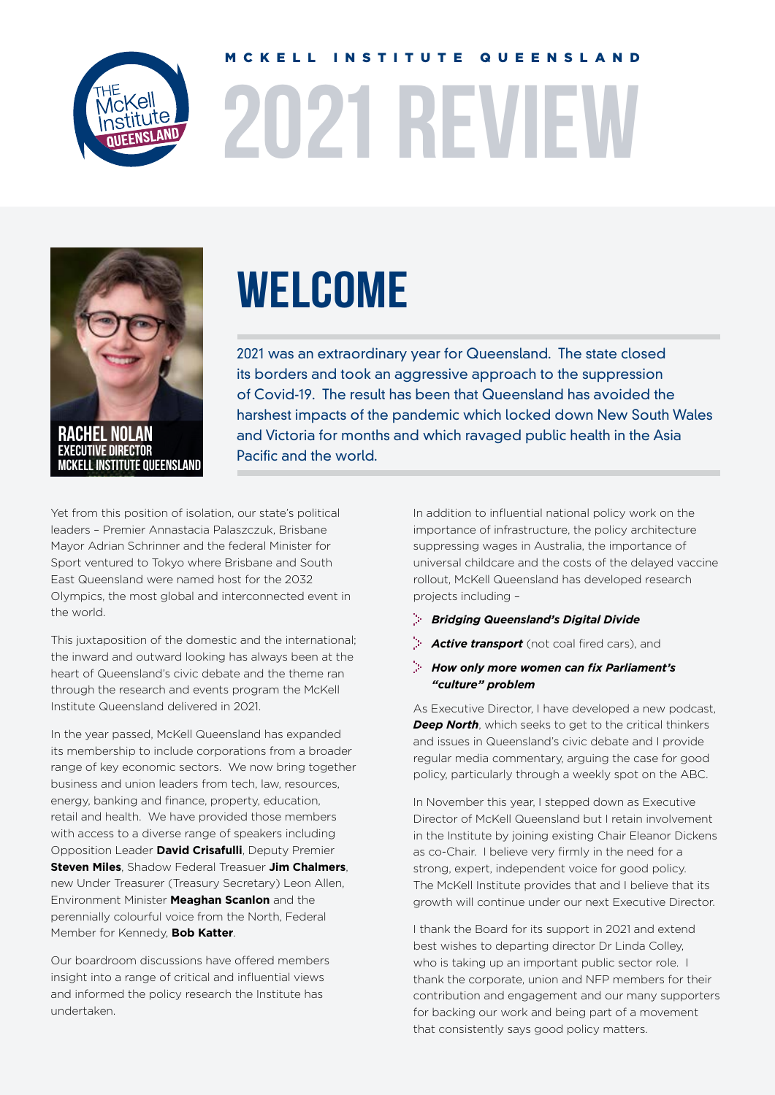

# **2021 REVIEW** MCKELL INSTITUTE QUEENSLAND



Rachel Nolan executive director McKell INSTITUTE QUEENSLAND

# **WELCOME**

2021 was an extraordinary year for Queensland. The state closed its borders and took an aggressive approach to the suppression of Covid-19. The result has been that Queensland has avoided the harshest impacts of the pandemic which locked down New South Wales and Victoria for months and which ravaged public health in the Asia Pacific and the world.

Yet from this position of isolation, our state's political leaders – Premier Annastacia Palaszczuk, Brisbane Mayor Adrian Schrinner and the federal Minister for Sport ventured to Tokyo where Brisbane and South East Queensland were named host for the 2032 Olympics, the most global and interconnected event in the world.

This juxtaposition of the domestic and the international; the inward and outward looking has always been at the heart of Queensland's civic debate and the theme ran through the research and events program the McKell Institute Queensland delivered in 2021.

In the year passed, McKell Queensland has expanded its membership to include corporations from a broader range of key economic sectors. We now bring together business and union leaders from tech, law, resources, energy, banking and finance, property, education, retail and health. We have provided those members with access to a diverse range of speakers including Opposition Leader **David Crisafulli**, Deputy Premier **Steven Miles**, Shadow Federal Treasuer **Jim Chalmers**, new Under Treasurer (Treasury Secretary) Leon Allen, Environment Minister **Meaghan Scanlon** and the perennially colourful voice from the North, Federal Member for Kennedy, **Bob Katter**.

Our boardroom discussions have offered members insight into a range of critical and influential views and informed the policy research the Institute has undertaken.

In addition to influential national policy work on the importance of infrastructure, the policy architecture suppressing wages in Australia, the importance of universal childcare and the costs of the delayed vaccine rollout, McKell Queensland has developed research projects including –

#### *Bridging Queensland's Digital Divide*

- *Active transport* (not coal fired cars), and
- *How only more women can fix Parliament's "culture" problem*

As Executive Director, I have developed a new podcast, *Deep North*, which seeks to get to the critical thinkers and issues in Queensland's civic debate and I provide regular media commentary, arguing the case for good policy, particularly through a weekly spot on the ABC.

In November this year, I stepped down as Executive Director of McKell Queensland but I retain involvement in the Institute by joining existing Chair Eleanor Dickens as co-Chair. I believe very firmly in the need for a strong, expert, independent voice for good policy. The McKell Institute provides that and I believe that its growth will continue under our next Executive Director.

I thank the Board for its support in 2021 and extend best wishes to departing director Dr Linda Colley, who is taking up an important public sector role. I thank the corporate, union and NFP members for their contribution and engagement and our many supporters for backing our work and being part of a movement that consistently says good policy matters.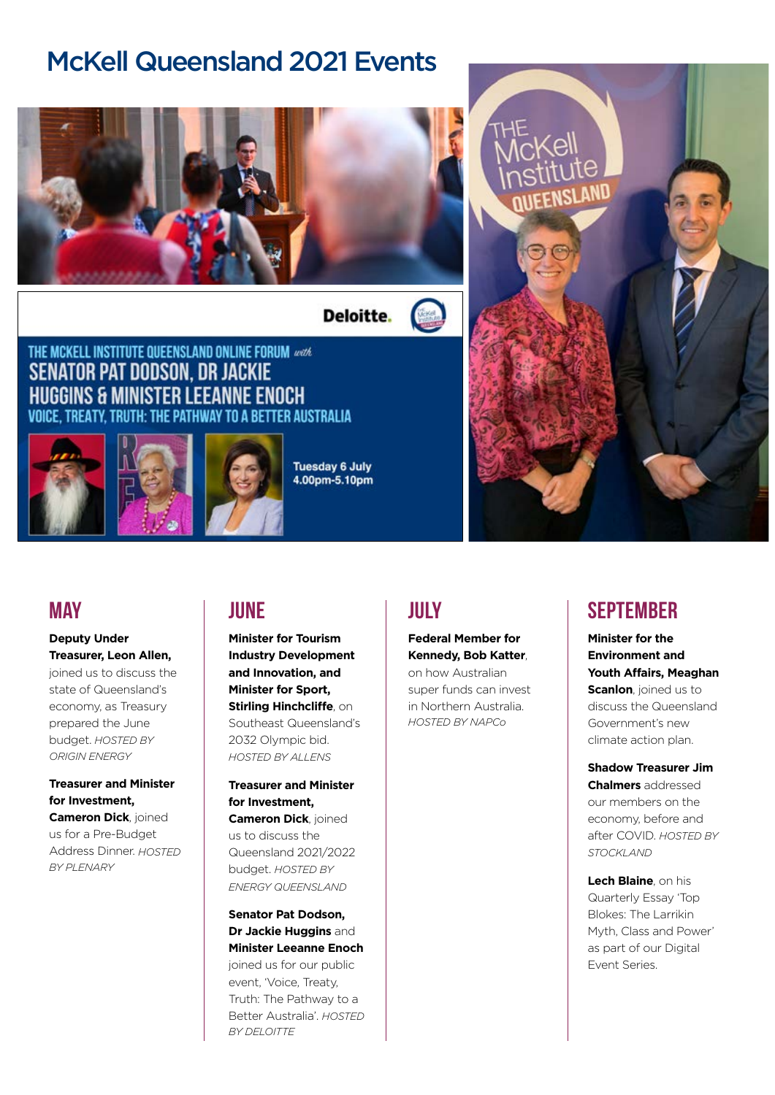## McKell Queensland 2021 Events



**Deloitte.** 

### THE MCKELL INSTITUTE QUEENSLAND ONLINE FORUM work **SENATOR PAT DODSON, DR JACKIE HUGGINS & MINISTER LEEANNE ENOCH** VOICE, TREATY, TRUTH: THE PATHWAY TO A BETTER AUSTRALIA



**Tuesday 6 July** 4.00pm-5.10pm



### **MAY**

### **Deputy Under Treasurer, Leon Allen,**

joined us to discuss the state of Queensland's economy, as Treasury prepared the June budget. *HOSTED BY ORIGIN ENERGY*

### **Treasurer and Minister for Investment,**

**Cameron Dick**, joined us for a Pre-Budget Address Dinner. *HOSTED BY PLENARY*

### **JUNE**

**Minister for Tourism Industry Development and Innovation, and Minister for Sport, Stirling Hinchcliffe**, on Southeast Queensland's 2032 Olympic bid. *HOSTED BY ALLENS*

**Treasurer and Minister for Investment, Cameron Dick**, joined us to discuss the Queensland 2021/2022 budget. *HOSTED BY ENERGY QUEENSLAND*

#### **Senator Pat Dodson, Dr Jackie Huggins** and **Minister Leeanne Enoch** joined us for our public

event, 'Voice, Treaty, Truth: The Pathway to a Better Australia'. *HOSTED BY DELOITTE*

### **JIII**Y

**Federal Member for Kennedy, Bob Katter**, on how Australian super funds can invest in Northern Australia.

*HOSTED BY NAPCo*

### **SFPTFMRFR**

**Minister for the Environment and Youth Affairs, Meaghan Scanlon**, joined us to discuss the Queensland Government's new climate action plan.

### **Shadow Treasurer Jim Chalmers** addressed our members on the economy, before and after COVID. *HOSTED BY STOCKLAND*

**Lech Blaine**, on his Quarterly Essay 'Top Blokes: The Larrikin Myth, Class and Power' as part of our Digital Event Series.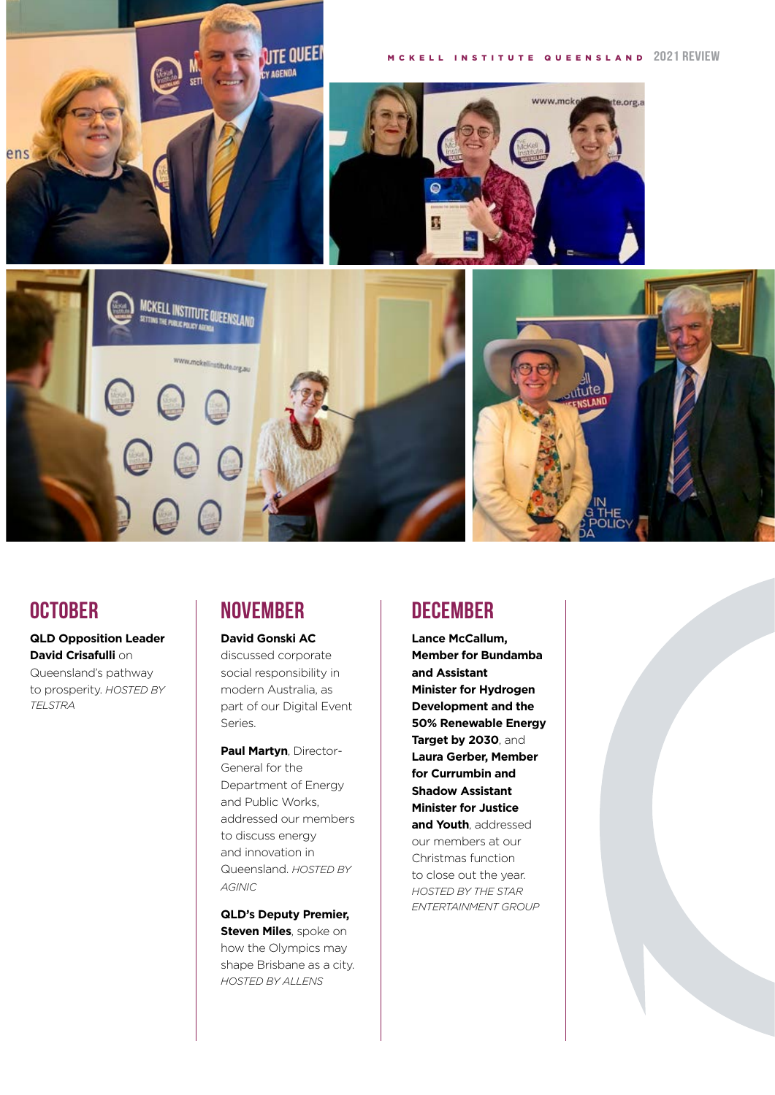

### **OCTOBER**

*TELSTRA*

**QLD Opposition Leader David Crisafulli** on Queensland's pathway to prosperity. *HOSTED BY* 

### **NOVEMBER**

#### **David Gonski AC**

discussed corporate social responsibility in modern Australia, as part of our Digital Event Series.

**Paul Martyn**, Director-General for the Department of Energy and Public Works, addressed our members to discuss energy and innovation in Queensland. *HOSTED BY AGINIC*

**QLD's Deputy Premier, Steven Miles**, spoke on how the Olympics may shape Brisbane as a city. *HOSTED BY ALLENS*

### **DECEMBER**

**Lance McCallum, Member for Bundamba and Assistant Minister for Hydrogen Development and the 50% Renewable Energy Target by 2030**, and **Laura Gerber, Member for Currumbin and Shadow Assistant Minister for Justice and Youth**, addressed our members at our Christmas function to close out the year. *HOSTED BY THE STAR ENTERTAINMENT GROUP*